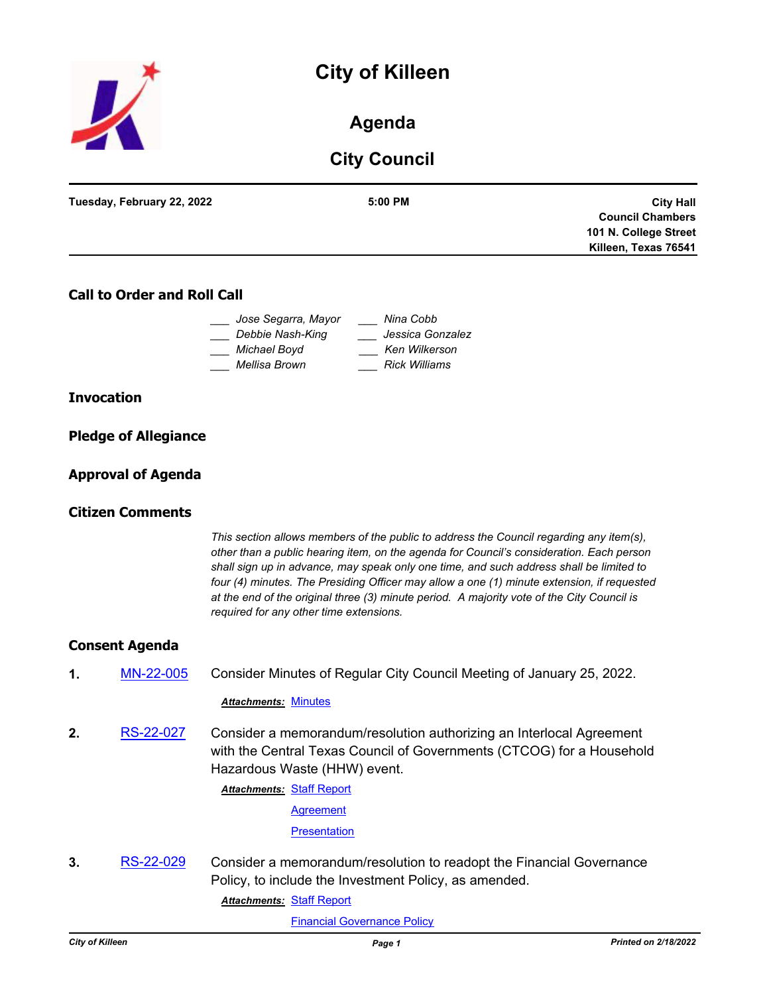



# **Agenda**

# **City Council**

| Tuesday, February 22, 2022 | $5:00$ PM | <b>City Hall</b>        |
|----------------------------|-----------|-------------------------|
|                            |           | <b>Council Chambers</b> |
|                            |           | 101 N. College Street   |
|                            |           | Killeen, Texas 76541    |
|                            |           |                         |

# **Call to Order and Roll Call**

| Jose Segarra, Mayor | Nina Cobb            |  |
|---------------------|----------------------|--|
| Debbie Nash-King    | Jessica Gonzalez     |  |
| Michael Boyd        | Ken Wilkerson        |  |
| Mellisa Brown       | <b>Rick Williams</b> |  |

## **Invocation**

|  | <b>Pledge of Allegiance</b> |
|--|-----------------------------|
|  |                             |

## **Approval of Agenda**

# **Citizen Comments**

*This section allows members of the public to address the Council regarding any item(s), other than a public hearing item, on the agenda for Council's consideration. Each person shall sign up in advance, may speak only one time, and such address shall be limited to four (4) minutes. The Presiding Officer may allow a one (1) minute extension, if requested at the end of the original three (3) minute period. A majority vote of the City Council is required for any other time extensions.*

## **Consent Agenda**

**1.** [MN-22-005](http://killeen.legistar.com/gateway.aspx?m=l&id=/matter.aspx?key=5969) Consider Minutes of Regular City Council Meeting of January 25, 2022.

### *Attachments:* [Minutes](http://killeen.legistar.com/gateway.aspx?M=F&ID=b26b7824-9f9f-4c4d-8cd9-84ea7ab93909.pdf)

**2.** [RS-22-027](http://killeen.legistar.com/gateway.aspx?m=l&id=/matter.aspx?key=5967) Consider a memorandum/resolution authorizing an Interlocal Agreement with the Central Texas Council of Governments (CTCOG) for a Household Hazardous Waste (HHW) event.

**Attachments: [Staff Report](http://killeen.legistar.com/gateway.aspx?M=F&ID=fc0ce2eb-a373-41d4-9903-901bda80a93b.pdf)** 

**[Agreement](http://killeen.legistar.com/gateway.aspx?M=F&ID=8d259b8d-9bcd-485a-b1c1-04044c0fe6f0.pdf)** 

**[Presentation](http://killeen.legistar.com/gateway.aspx?M=F&ID=e740c2d7-2f86-4d66-8df3-84344ef032b3.pdf)** 

**3.** [RS-22-029](http://killeen.legistar.com/gateway.aspx?m=l&id=/matter.aspx?key=5976) Consider a memorandum/resolution to readopt the Financial Governance Policy, to include the Investment Policy, as amended.

**Attachments: [Staff Report](http://killeen.legistar.com/gateway.aspx?M=F&ID=b6acd6c1-96ca-4412-9731-e282d80abb4c.pdf)** 

[Financial Governance Policy](http://killeen.legistar.com/gateway.aspx?M=F&ID=092a3d8a-2dde-4a74-945a-fae33cf55970.pdf)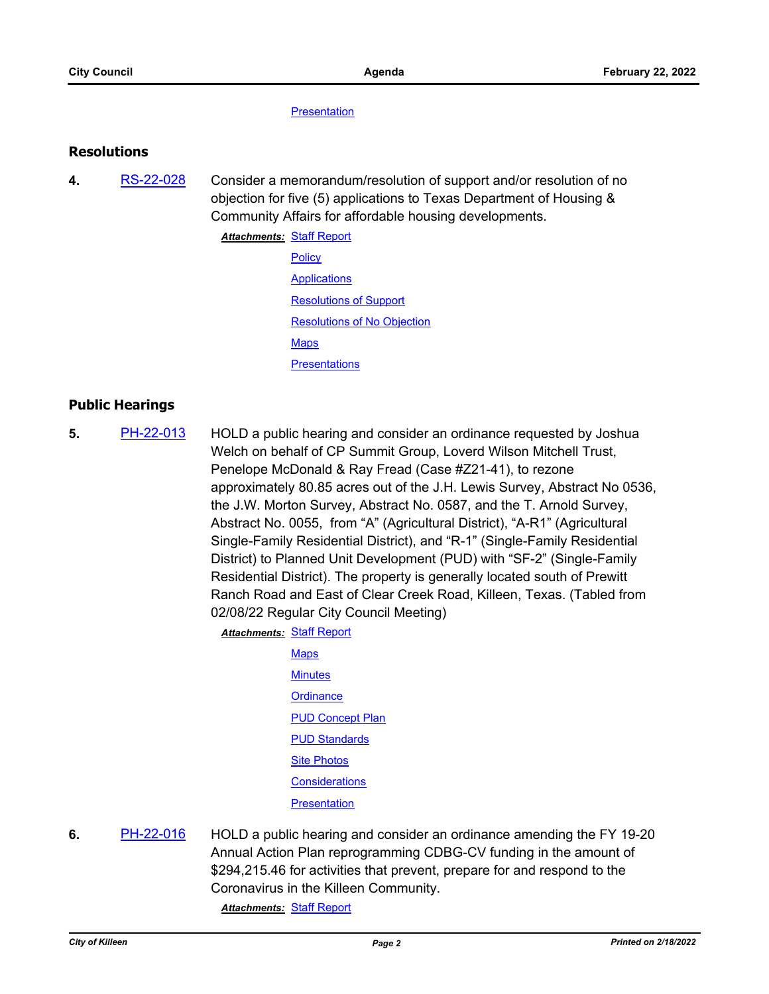#### **[Presentation](http://killeen.legistar.com/gateway.aspx?M=F&ID=639451e7-d237-4b43-923b-edfa30b1cd64.pdf)**

## **Resolutions**

**4.** [RS-22-028](http://killeen.legistar.com/gateway.aspx?m=l&id=/matter.aspx?key=5933) Consider a memorandum/resolution of support and/or resolution of no objection for five (5) applications to Texas Department of Housing & Community Affairs for affordable housing developments.

> **Attachments: [Staff Report](http://killeen.legistar.com/gateway.aspx?M=F&ID=bce109ef-1adc-402b-b2ab-987b67b76cc8.pdf) [Policy](http://killeen.legistar.com/gateway.aspx?M=F&ID=d0483488-602b-46db-9c8e-8cdbbaeaec12.pdf) [Applications](http://killeen.legistar.com/gateway.aspx?M=F&ID=43e6d69e-6ecb-4f85-a692-ac1bd7c2880f.pdf)** [Resolutions of Support](http://killeen.legistar.com/gateway.aspx?M=F&ID=bb1d4d3e-115b-44e0-9a18-c8b2129f44f7.pdf) [Resolutions of No Objection](http://killeen.legistar.com/gateway.aspx?M=F&ID=7f674e03-1637-4cb2-ac9d-af34d76a7e37.pdf) **[Maps](http://killeen.legistar.com/gateway.aspx?M=F&ID=7f9f28b9-ead9-42e5-b2fa-dd57caf0fc49.pdf) [Presentations](http://killeen.legistar.com/gateway.aspx?M=F&ID=c3174707-dc6c-48a7-beb0-7101ccb70e37.pdf)**

# **Public Hearings**

**5.** [PH-22-013](http://killeen.legistar.com/gateway.aspx?m=l&id=/matter.aspx?key=5882) HOLD a public hearing and consider an ordinance requested by Joshua Welch on behalf of CP Summit Group, Loverd Wilson Mitchell Trust, Penelope McDonald & Ray Fread (Case #Z21-41), to rezone approximately 80.85 acres out of the J.H. Lewis Survey, Abstract No 0536, the J.W. Morton Survey, Abstract No. 0587, and the T. Arnold Survey, Abstract No. 0055, from "A" (Agricultural District), "A-R1" (Agricultural Single-Family Residential District), and "R-1" (Single-Family Residential District) to Planned Unit Development (PUD) with "SF-2" (Single-Family Residential District). The property is generally located south of Prewitt Ranch Road and East of Clear Creek Road, Killeen, Texas. (Tabled from 02/08/22 Regular City Council Meeting)

**Attachments: [Staff Report](http://killeen.legistar.com/gateway.aspx?M=F&ID=1466dc4d-7fc3-4c06-8ec6-33d8fa9520b5.pdf)** 

- **[Maps](http://killeen.legistar.com/gateway.aspx?M=F&ID=325b89c8-d2fd-4066-9e4d-fa58fad6d707.pdf) [Minutes](http://killeen.legistar.com/gateway.aspx?M=F&ID=e8cda71c-cb2c-4571-b109-a057e4fdba80.pdf) [Ordinance](http://killeen.legistar.com/gateway.aspx?M=F&ID=c0ffa509-9498-4e0d-acec-012663d3257e.pdf) [PUD Concept Plan](http://killeen.legistar.com/gateway.aspx?M=F&ID=440d076b-2ebc-4fdf-aa33-f5b5e36e219e.pdf) [PUD Standards](http://killeen.legistar.com/gateway.aspx?M=F&ID=1ccb5c02-e44c-4d6c-a21b-3d3c45be7501.pdf) [Site Photos](http://killeen.legistar.com/gateway.aspx?M=F&ID=dc5aea95-d167-42b0-8ddd-152464c84ff8.pdf) [Considerations](http://killeen.legistar.com/gateway.aspx?M=F&ID=cc59f48e-473d-4296-a63b-ff7ec615b5a9.pdf) [Presentation](http://killeen.legistar.com/gateway.aspx?M=F&ID=e51f849b-609d-4b89-a234-08589944af64.pdf)**
- **6.** [PH-22-016](http://killeen.legistar.com/gateway.aspx?m=l&id=/matter.aspx?key=5961) HOLD a public hearing and consider an ordinance amending the FY 19-20 Annual Action Plan reprogramming CDBG-CV funding in the amount of \$294,215.46 for activities that prevent, prepare for and respond to the Coronavirus in the Killeen Community.

*Attachments:* [Staff Report](http://killeen.legistar.com/gateway.aspx?M=F&ID=053d2165-df7c-4f33-99b4-850365496505.pdf)